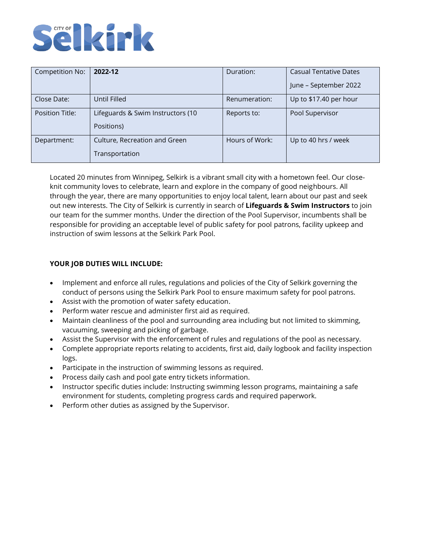# Selkirk

| Competition No: | 2022-12                           | Duration:      | <b>Casual Tentative Dates</b> |
|-----------------|-----------------------------------|----------------|-------------------------------|
|                 |                                   |                | June - September 2022         |
| Close Date:     | Until Filled                      | Renumeration:  | Up to \$17.40 per hour        |
| Position Title: | Lifeguards & Swim Instructors (10 | Reports to:    | Pool Supervisor               |
|                 | Positions)                        |                |                               |
| Department:     | Culture, Recreation and Green     | Hours of Work: | Up to 40 hrs / week           |
|                 | Transportation                    |                |                               |

Located 20 minutes from Winnipeg, Selkirk is a vibrant small city with a hometown feel. Our closeknit community loves to celebrate, learn and explore in the company of good neighbours. All through the year, there are many opportunities to enjoy local talent, learn about our past and seek out new interests. The City of Selkirk is currently in search of **Lifeguards & Swim Instructors** to join our team for the summer months. Under the direction of the Pool Supervisor, incumbents shall be responsible for providing an acceptable level of public safety for pool patrons, facility upkeep and instruction of swim lessons at the Selkirk Park Pool.

## **YOUR JOB DUTIES WILL INCLUDE:**

- Implement and enforce all rules, regulations and policies of the City of Selkirk governing the conduct of persons using the Selkirk Park Pool to ensure maximum safety for pool patrons.
- Assist with the promotion of water safety education.
- Perform water rescue and administer first aid as required.
- Maintain cleanliness of the pool and surrounding area including but not limited to skimming, vacuuming, sweeping and picking of garbage.
- Assist the Supervisor with the enforcement of rules and regulations of the pool as necessary.
- Complete appropriate reports relating to accidents, first aid, daily logbook and facility inspection logs.
- Participate in the instruction of swimming lessons as required.
- Process daily cash and pool gate entry tickets information.
- Instructor specific duties include: Instructing swimming lesson programs, maintaining a safe environment for students, completing progress cards and required paperwork.
- Perform other duties as assigned by the Supervisor.